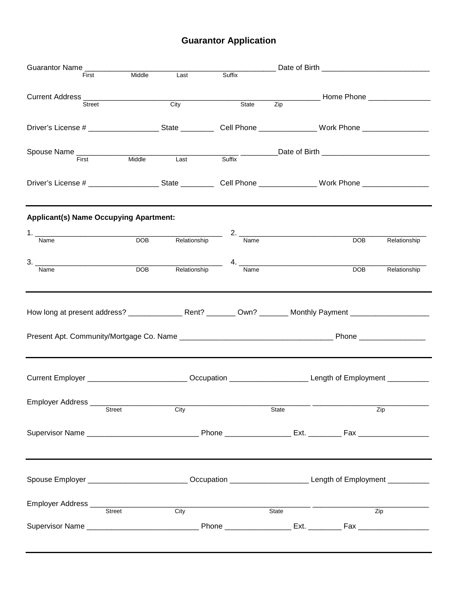# **Guarantor Application**

| Guarantor Name                                                                                                                                                                                                                                                                                                                                                                                                                                                                    | ____________ Date of Birth __________________________________ |              |                                                                                                                  |                           |            |                  |
|-----------------------------------------------------------------------------------------------------------------------------------------------------------------------------------------------------------------------------------------------------------------------------------------------------------------------------------------------------------------------------------------------------------------------------------------------------------------------------------|---------------------------------------------------------------|--------------|------------------------------------------------------------------------------------------------------------------|---------------------------|------------|------------------|
| First                                                                                                                                                                                                                                                                                                                                                                                                                                                                             | Middle                                                        | Last         | Suffix                                                                                                           |                           |            |                  |
|                                                                                                                                                                                                                                                                                                                                                                                                                                                                                   |                                                               |              |                                                                                                                  |                           |            |                  |
| <b>Street</b>                                                                                                                                                                                                                                                                                                                                                                                                                                                                     |                                                               | City         | $rac{1}{\text{State}}$                                                                                           |                           |            |                  |
|                                                                                                                                                                                                                                                                                                                                                                                                                                                                                   |                                                               |              |                                                                                                                  |                           |            |                  |
|                                                                                                                                                                                                                                                                                                                                                                                                                                                                                   |                                                               |              |                                                                                                                  |                           |            |                  |
|                                                                                                                                                                                                                                                                                                                                                                                                                                                                                   |                                                               |              |                                                                                                                  |                           |            |                  |
| Spouse Name Tirst Middle Last Suffix Date of Birth Communication of Birth Communication of Birth Communication of Birth Communication of Birth Communication of Birth Communication of Birth Communication of Birth Communicat                                                                                                                                                                                                                                                    |                                                               |              |                                                                                                                  |                           |            |                  |
|                                                                                                                                                                                                                                                                                                                                                                                                                                                                                   |                                                               |              |                                                                                                                  |                           |            |                  |
|                                                                                                                                                                                                                                                                                                                                                                                                                                                                                   |                                                               |              |                                                                                                                  |                           |            |                  |
|                                                                                                                                                                                                                                                                                                                                                                                                                                                                                   |                                                               |              |                                                                                                                  |                           |            |                  |
|                                                                                                                                                                                                                                                                                                                                                                                                                                                                                   |                                                               |              |                                                                                                                  |                           |            |                  |
| <b>Applicant(s) Name Occupying Apartment:</b>                                                                                                                                                                                                                                                                                                                                                                                                                                     |                                                               |              |                                                                                                                  |                           |            |                  |
|                                                                                                                                                                                                                                                                                                                                                                                                                                                                                   |                                                               |              |                                                                                                                  |                           |            |                  |
| 1. Name DOB Relationship 2. Name DOB Relationship                                                                                                                                                                                                                                                                                                                                                                                                                                 |                                                               |              |                                                                                                                  |                           | <b>DOB</b> | Relationship     |
|                                                                                                                                                                                                                                                                                                                                                                                                                                                                                   |                                                               |              |                                                                                                                  |                           |            |                  |
| $\begin{array}{c} \n \textbf{3.} \quad \textcolor{red}{\overbrace{ \qquad \qquad \qquad }} \quad \textbf{5.} \quad \textbf{6.} \quad \textbf{6.} \quad \textbf{7.} \quad \textbf{8.} \quad \textbf{9.} \quad \textbf{1.} \quad \textbf{1.} \quad \textbf{1.} \quad \textbf{1.} \quad \textbf{1.} \quad \textbf{1.} \quad \textbf{1.} \quad \textbf{1.} \quad \textbf{1.} \quad \textbf{1.} \quad \textbf{1.} \quad \textbf{1.} \quad \textbf{1.} \quad \textbf{1.} \quad$<br>Name | <b>DOB</b>                                                    | Relationship | Name                                                                                                             |                           | <b>DOB</b> | Relationship     |
|                                                                                                                                                                                                                                                                                                                                                                                                                                                                                   |                                                               |              |                                                                                                                  |                           |            |                  |
|                                                                                                                                                                                                                                                                                                                                                                                                                                                                                   |                                                               |              |                                                                                                                  |                           |            |                  |
|                                                                                                                                                                                                                                                                                                                                                                                                                                                                                   |                                                               |              |                                                                                                                  |                           |            |                  |
|                                                                                                                                                                                                                                                                                                                                                                                                                                                                                   |                                                               |              |                                                                                                                  |                           |            |                  |
|                                                                                                                                                                                                                                                                                                                                                                                                                                                                                   |                                                               |              |                                                                                                                  |                           |            |                  |
|                                                                                                                                                                                                                                                                                                                                                                                                                                                                                   |                                                               |              |                                                                                                                  |                           |            |                  |
|                                                                                                                                                                                                                                                                                                                                                                                                                                                                                   |                                                               |              |                                                                                                                  |                           |            |                  |
|                                                                                                                                                                                                                                                                                                                                                                                                                                                                                   |                                                               |              |                                                                                                                  |                           |            |                  |
|                                                                                                                                                                                                                                                                                                                                                                                                                                                                                   |                                                               |              | Current Employer ____________________________Occupation ________________________Length of Employment ___________ |                           |            |                  |
|                                                                                                                                                                                                                                                                                                                                                                                                                                                                                   |                                                               |              |                                                                                                                  |                           |            |                  |
| Employer Address __________                                                                                                                                                                                                                                                                                                                                                                                                                                                       | Street                                                        | City         |                                                                                                                  | State                     |            | Zip              |
|                                                                                                                                                                                                                                                                                                                                                                                                                                                                                   |                                                               |              |                                                                                                                  |                           |            |                  |
|                                                                                                                                                                                                                                                                                                                                                                                                                                                                                   |                                                               |              |                                                                                                                  |                           |            |                  |
|                                                                                                                                                                                                                                                                                                                                                                                                                                                                                   |                                                               |              |                                                                                                                  |                           |            |                  |
|                                                                                                                                                                                                                                                                                                                                                                                                                                                                                   |                                                               |              |                                                                                                                  |                           |            |                  |
|                                                                                                                                                                                                                                                                                                                                                                                                                                                                                   |                                                               |              |                                                                                                                  |                           |            |                  |
|                                                                                                                                                                                                                                                                                                                                                                                                                                                                                   |                                                               |              |                                                                                                                  |                           |            |                  |
| Spouse Employer _________________________Occupation _____________________________ Length of Employment ___________                                                                                                                                                                                                                                                                                                                                                                |                                                               |              |                                                                                                                  |                           |            |                  |
|                                                                                                                                                                                                                                                                                                                                                                                                                                                                                   |                                                               |              |                                                                                                                  |                           |            |                  |
|                                                                                                                                                                                                                                                                                                                                                                                                                                                                                   |                                                               |              |                                                                                                                  |                           |            |                  |
|                                                                                                                                                                                                                                                                                                                                                                                                                                                                                   |                                                               | <b>City</b>  |                                                                                                                  | $\overline{\text{State}}$ |            | $\overline{Zip}$ |
|                                                                                                                                                                                                                                                                                                                                                                                                                                                                                   |                                                               |              |                                                                                                                  |                           |            |                  |